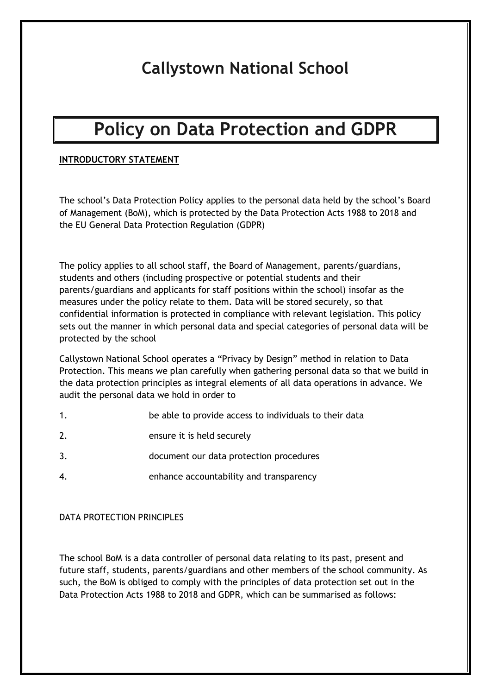# **Callystown National School**

# **Policy on Data Protection and GDPR**

## **INTRODUCTORY STATEMENT**

The school's Data Protection Policy applies to the personal data held by the school's Board of Management (BoM), which is protected by the Data Protection Acts 1988 to 2018 and the EU General Data Protection Regulation (GDPR)

The policy applies to all school staff, the Board of Management, parents/guardians, students and others (including prospective or potential students and their parents/guardians and applicants for staff positions within the school) insofar as the measures under the policy relate to them. Data will be stored securely, so that confidential information is protected in compliance with relevant legislation. This policy sets out the manner in which personal data and special categories of personal data will be protected by the school

Callystown National School operates a "Privacy by Design" method in relation to Data Protection. This means we plan carefully when gathering personal data so that we build in the data protection principles as integral elements of all data operations in advance. We audit the personal data we hold in order to

- 1. be able to provide access to individuals to their data
- 2. ensure it is held securely
- 3. document our data protection procedures
- 4. enhance accountability and transparency

#### DATA PROTECTION PRINCIPLES

The school BoM is a data controller of personal data relating to its past, present and future staff, students, parents/guardians and other members of the school community. As such, the BoM is obliged to comply with the principles of data protection set out in the Data Protection Acts 1988 to 2018 and GDPR, which can be summarised as follows: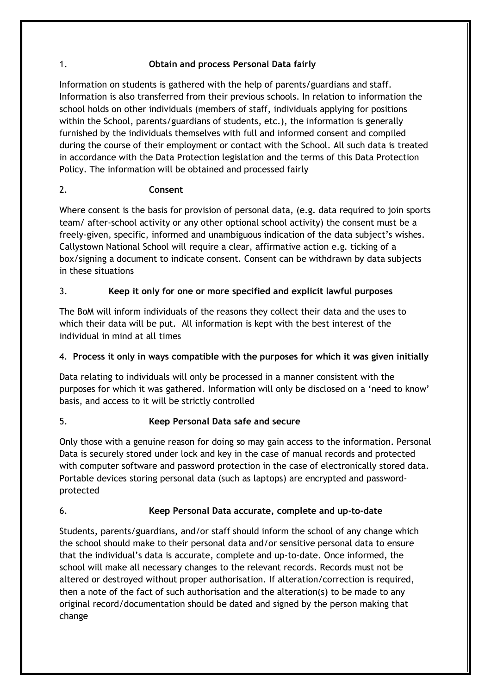## 1. **Obtain and process Personal Data fairly**

Information on students is gathered with the help of parents/guardians and staff. Information is also transferred from their previous schools. In relation to information the school holds on other individuals (members of staff, individuals applying for positions within the School, parents/guardians of students, etc.), the information is generally furnished by the individuals themselves with full and informed consent and compiled during the course of their employment or contact with the School. All such data is treated in accordance with the Data Protection legislation and the terms of this Data Protection Policy. The information will be obtained and processed fairly

## 2. **Consent**

Where consent is the basis for provision of personal data, (e.g. data required to join sports team/ after-school activity or any other optional school activity) the consent must be a freely-given, specific, informed and unambiguous indication of the data subject's wishes. Callystown National School will require a clear, affirmative action e.g. ticking of a box/signing a document to indicate consent. Consent can be withdrawn by data subjects in these situations

## 3. **Keep it only for one or more specified and explicit lawful purposes**

The BoM will inform individuals of the reasons they collect their data and the uses to which their data will be put. All information is kept with the best interest of the individual in mind at all times

# 4. **Process it only in ways compatible with the purposes for which it was given initially**

Data relating to individuals will only be processed in a manner consistent with the purposes for which it was gathered. Information will only be disclosed on a 'need to know' basis, and access to it will be strictly controlled

# 5. **Keep Personal Data safe and secure**

Only those with a genuine reason for doing so may gain access to the information. Personal Data is securely stored under lock and key in the case of manual records and protected with computer software and password protection in the case of electronically stored data. Portable devices storing personal data (such as laptops) are encrypted and passwordprotected

# 6. **Keep Personal Data accurate, complete and up-to-date**

Students, parents/guardians, and/or staff should inform the school of any change which the school should make to their personal data and/or sensitive personal data to ensure that the individual's data is accurate, complete and up-to-date. Once informed, the school will make all necessary changes to the relevant records. Records must not be altered or destroyed without proper authorisation. If alteration/correction is required, then a note of the fact of such authorisation and the alteration(s) to be made to any original record/documentation should be dated and signed by the person making that change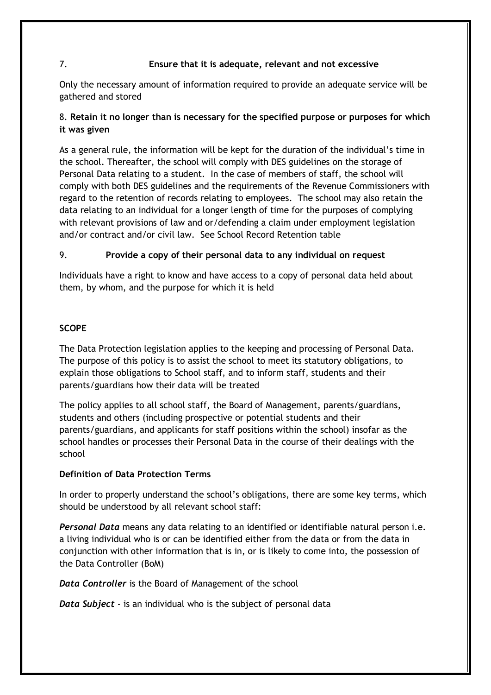## 7. **Ensure that it is adequate, relevant and not excessive**

Only the necessary amount of information required to provide an adequate service will be gathered and stored

## 8. **Retain it no longer than is necessary for the specified purpose or purposes for which it was given**

As a general rule, the information will be kept for the duration of the individual's time in the school. Thereafter, the school will comply with DES guidelines on the storage of Personal Data relating to a student. In the case of members of staff, the school will comply with both DES guidelines and the requirements of the Revenue Commissioners with regard to the retention of records relating to employees. The school may also retain the data relating to an individual for a longer length of time for the purposes of complying with relevant provisions of law and or/defending a claim under employment legislation and/or contract and/or civil law. See School Record Retention table

## 9. **Provide a copy of their personal data to any individual on request**

Individuals have a right to know and have access to a copy of personal data held about them, by whom, and the purpose for which it is held

## **SCOPE**

The Data Protection legislation applies to the keeping and processing of Personal Data. The purpose of this policy is to assist the school to meet its statutory obligations, to explain those obligations to School staff, and to inform staff, students and their parents/guardians how their data will be treated

The policy applies to all school staff, the Board of Management, parents/guardians, students and others (including prospective or potential students and their parents/guardians, and applicants for staff positions within the school) insofar as the school handles or processes their Personal Data in the course of their dealings with the school

## **Definition of Data Protection Terms**

In order to properly understand the school's obligations, there are some key terms, which should be understood by all relevant school staff:

*Personal Data* means any data relating to an identified or identifiable natural person i.e. a living individual who is or can be identified either from the data or from the data in conjunction with other information that is in, or is likely to come into, the possession of the Data Controller (BoM)

*Data Controller* is the Board of Management of the school

*Data Subject* - is an individual who is the subject of personal data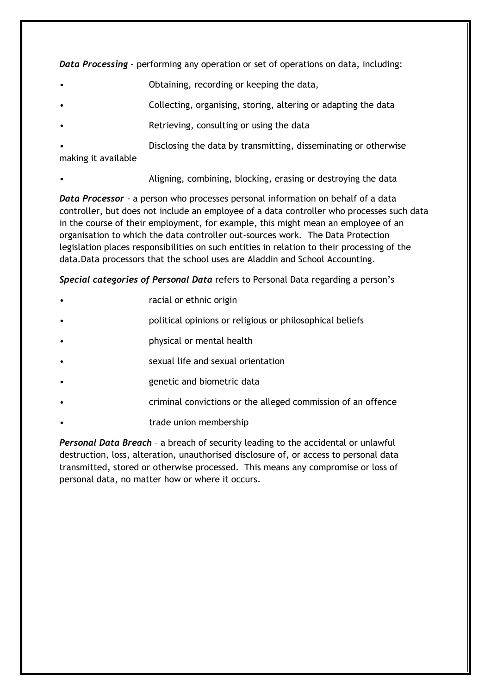*Data Processing* - performing any operation or set of operations on data, including:

- Obtaining, recording or keeping the data,
- Collecting, organising, storing, altering or adapting the data
- Retrieving, consulting or using the data
- Disclosing the data by transmitting, disseminating or otherwise making it available
- Aligning, combining, blocking, erasing or destroying the data

*Data Processor* - a person who processes personal information on behalf of a data controller, but does not include an employee of a data controller who processes such data in the course of their employment, for example, this might mean an employee of an organisation to which the data controller out-sources work. The Data Protection legislation places responsibilities on such entities in relation to their processing of the data.Data processors that the school uses are Aladdin and School Accounting.

*Special categories of Personal Data* refers to Personal Data regarding a person's

- racial or ethnic origin
- political opinions or religious or philosophical beliefs
- physical or mental health
- sexual life and sexual orientation
- genetic and biometric data
- criminal convictions or the alleged commission of an offence
- trade union membership

*Personal Data Breach* – a breach of security leading to the accidental or unlawful destruction, loss, alteration, unauthorised disclosure of, or access to personal data transmitted, stored or otherwise processed. This means any compromise or loss of personal data, no matter how or where it occurs.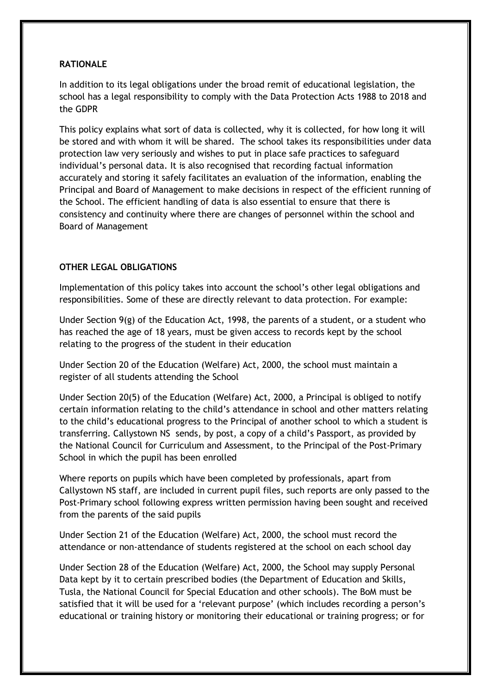#### **RATIONALE**

In addition to its legal obligations under the broad remit of educational legislation, the school has a legal responsibility to comply with the Data Protection Acts 1988 to 2018 and the GDPR

This policy explains what sort of data is collected, why it is collected, for how long it will be stored and with whom it will be shared. The school takes its responsibilities under data protection law very seriously and wishes to put in place safe practices to safeguard individual's personal data. It is also recognised that recording factual information accurately and storing it safely facilitates an evaluation of the information, enabling the Principal and Board of Management to make decisions in respect of the efficient running of the School. The efficient handling of data is also essential to ensure that there is consistency and continuity where there are changes of personnel within the school and Board of Management

## **OTHER LEGAL OBLIGATIONS**

Implementation of this policy takes into account the school's other legal obligations and responsibilities. Some of these are directly relevant to data protection. For example:

Under Section 9(g) of the Education Act, 1998, the parents of a student, or a student who has reached the age of 18 years, must be given access to records kept by the school relating to the progress of the student in their education

Under Section 20 of the Education (Welfare) Act, 2000, the school must maintain a register of all students attending the School

Under Section 20(5) of the Education (Welfare) Act, 2000, a Principal is obliged to notify certain information relating to the child's attendance in school and other matters relating to the child's educational progress to the Principal of another school to which a student is transferring. Callystown NS sends, by post, a copy of a child's Passport, as provided by the National Council for Curriculum and Assessment, to the Principal of the Post-Primary School in which the pupil has been enrolled

Where reports on pupils which have been completed by professionals, apart from Callystown NS staff, are included in current pupil files, such reports are only passed to the Post-Primary school following express written permission having been sought and received from the parents of the said pupils

Under Section 21 of the Education (Welfare) Act, 2000, the school must record the attendance or non-attendance of students registered at the school on each school day

Under Section 28 of the Education (Welfare) Act, 2000, the School may supply Personal Data kept by it to certain prescribed bodies (the Department of Education and Skills, Tusla, the National Council for Special Education and other schools). The BoM must be satisfied that it will be used for a 'relevant purpose' (which includes recording a person's educational or training history or monitoring their educational or training progress; or for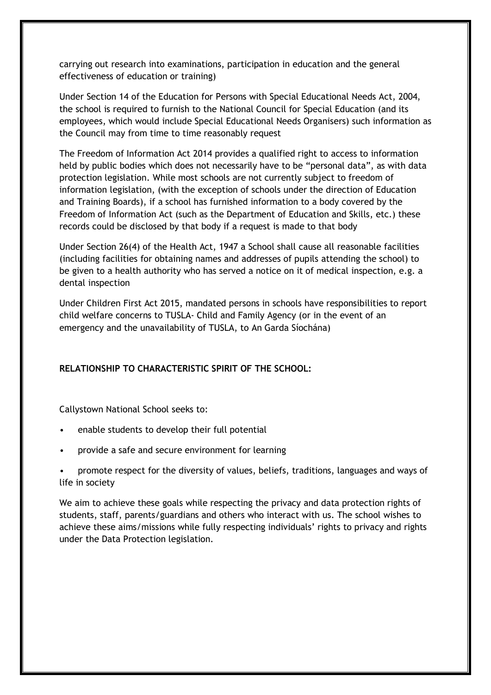carrying out research into examinations, participation in education and the general effectiveness of education or training)

Under Section 14 of the Education for Persons with Special Educational Needs Act, 2004, the school is required to furnish to the National Council for Special Education (and its employees, which would include Special Educational Needs Organisers) such information as the Council may from time to time reasonably request

The Freedom of Information Act 2014 provides a qualified right to access to information held by public bodies which does not necessarily have to be "personal data", as with data protection legislation. While most schools are not currently subject to freedom of information legislation, (with the exception of schools under the direction of Education and Training Boards), if a school has furnished information to a body covered by the Freedom of Information Act (such as the Department of Education and Skills, etc.) these records could be disclosed by that body if a request is made to that body

Under Section 26(4) of the Health Act, 1947 a School shall cause all reasonable facilities (including facilities for obtaining names and addresses of pupils attending the school) to be given to a health authority who has served a notice on it of medical inspection, e.g. a dental inspection

Under Children First Act 2015, mandated persons in schools have responsibilities to report child welfare concerns to TUSLA- Child and Family Agency (or in the event of an emergency and the unavailability of TUSLA, to An Garda Síochána)

## **RELATIONSHIP TO CHARACTERISTIC SPIRIT OF THE SCHOOL:**

Callystown National School seeks to:

- enable students to develop their full potential
- provide a safe and secure environment for learning
- promote respect for the diversity of values, beliefs, traditions, languages and ways of life in society

We aim to achieve these goals while respecting the privacy and data protection rights of students, staff, parents/guardians and others who interact with us. The school wishes to achieve these aims/missions while fully respecting individuals' rights to privacy and rights under the Data Protection legislation.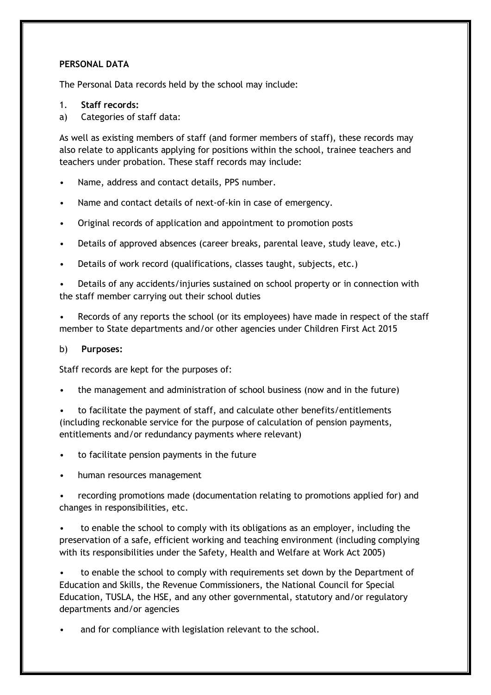## **PERSONAL DATA**

The Personal Data records held by the school may include:

#### 1. **Staff records:**

a) Categories of staff data:

As well as existing members of staff (and former members of staff), these records may also relate to applicants applying for positions within the school, trainee teachers and teachers under probation. These staff records may include:

- Name, address and contact details, PPS number.
- Name and contact details of next-of-kin in case of emergency.
- Original records of application and appointment to promotion posts
- Details of approved absences (career breaks, parental leave, study leave, etc.)
- Details of work record (qualifications, classes taught, subjects, etc.)

• Details of any accidents/injuries sustained on school property or in connection with the staff member carrying out their school duties

• Records of any reports the school (or its employees) have made in respect of the staff member to State departments and/or other agencies under Children First Act 2015

#### b) **Purposes:**

Staff records are kept for the purposes of:

• the management and administration of school business (now and in the future)

• to facilitate the payment of staff, and calculate other benefits/entitlements (including reckonable service for the purpose of calculation of pension payments, entitlements and/or redundancy payments where relevant)

- to facilitate pension payments in the future
- human resources management

• recording promotions made (documentation relating to promotions applied for) and changes in responsibilities, etc.

• to enable the school to comply with its obligations as an employer, including the preservation of a safe, efficient working and teaching environment (including complying with its responsibilities under the Safety, Health and Welfare at Work Act 2005)

to enable the school to comply with requirements set down by the Department of Education and Skills, the Revenue Commissioners, the National Council for Special Education, TUSLA, the HSE, and any other governmental, statutory and/or regulatory departments and/or agencies

and for compliance with legislation relevant to the school.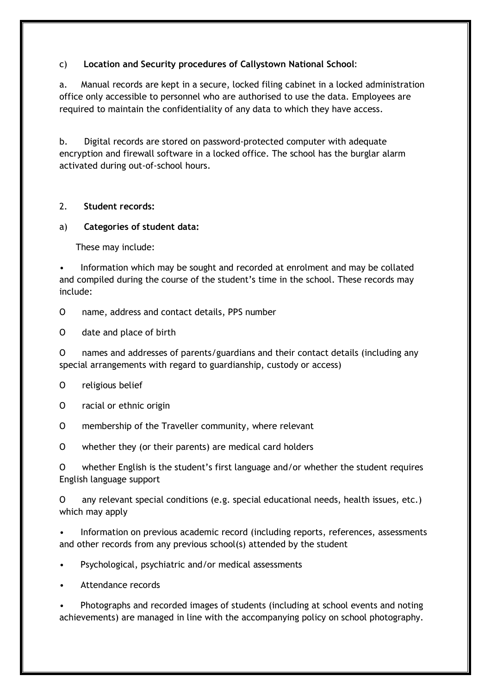## c) **Location and Security procedures of Callystown National School**:

a. Manual records are kept in a secure, locked filing cabinet in a locked administration office only accessible to personnel who are authorised to use the data. Employees are required to maintain the confidentiality of any data to which they have access.

b. Digital records are stored on password-protected computer with adequate encryption and firewall software in a locked office. The school has the burglar alarm activated during out-of-school hours.

#### 2. **Student records:**

#### a) **Categories of student data:**

These may include:

• Information which may be sought and recorded at enrolment and may be collated and compiled during the course of the student's time in the school. These records may include:

O name, address and contact details, PPS number

O date and place of birth

O names and addresses of parents/guardians and their contact details (including any special arrangements with regard to guardianship, custody or access)

#### O religious belief

- O racial or ethnic origin
- O membership of the Traveller community, where relevant
- O whether they (or their parents) are medical card holders

O whether English is the student's first language and/or whether the student requires English language support

O any relevant special conditions (e.g. special educational needs, health issues, etc.) which may apply

• Information on previous academic record (including reports, references, assessments and other records from any previous school(s) attended by the student

- Psychological, psychiatric and/or medical assessments
- Attendance records

• Photographs and recorded images of students (including at school events and noting achievements) are managed in line with the accompanying policy on school photography.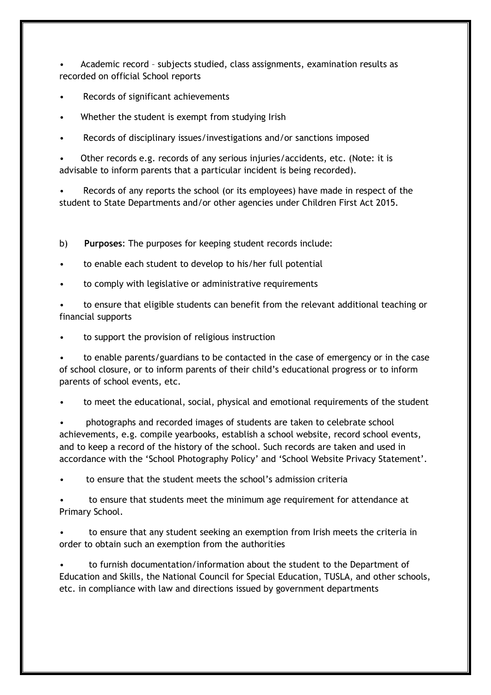• Academic record – subjects studied, class assignments, examination results as recorded on official School reports

- Records of significant achievements
- Whether the student is exempt from studying Irish
- Records of disciplinary issues/investigations and/or sanctions imposed

• Other records e.g. records of any serious injuries/accidents, etc. (Note: it is advisable to inform parents that a particular incident is being recorded).

• Records of any reports the school (or its employees) have made in respect of the student to State Departments and/or other agencies under Children First Act 2015.

b) **Purposes**: The purposes for keeping student records include:

- to enable each student to develop to his/her full potential
- to comply with legislative or administrative requirements

• to ensure that eligible students can benefit from the relevant additional teaching or financial supports

to support the provision of religious instruction

• to enable parents/guardians to be contacted in the case of emergency or in the case of school closure, or to inform parents of their child's educational progress or to inform parents of school events, etc.

• to meet the educational, social, physical and emotional requirements of the student

• photographs and recorded images of students are taken to celebrate school achievements, e.g. compile yearbooks, establish a school website, record school events, and to keep a record of the history of the school. Such records are taken and used in accordance with the 'School Photography Policy' and 'School Website Privacy Statement'.

• to ensure that the student meets the school's admission criteria

• to ensure that students meet the minimum age requirement for attendance at Primary School.

• to ensure that any student seeking an exemption from Irish meets the criteria in order to obtain such an exemption from the authorities

• to furnish documentation/information about the student to the Department of Education and Skills, the National Council for Special Education, TUSLA, and other schools, etc. in compliance with law and directions issued by government departments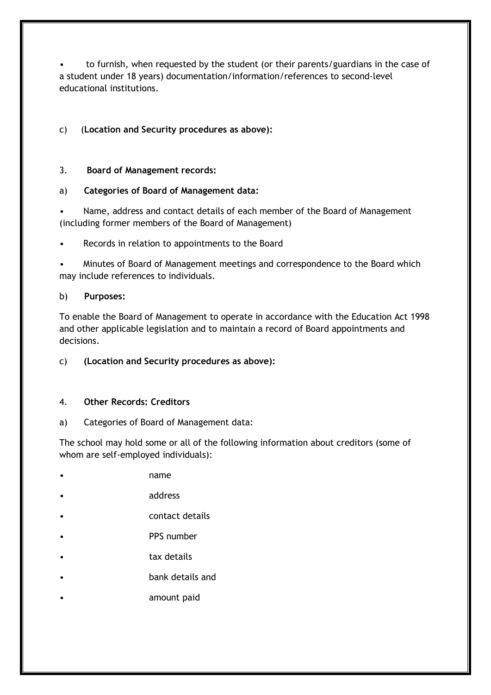• to furnish, when requested by the student (or their parents/guardians in the case of a student under 18 years) documentation/information/references to second-level educational institutions.

c) (**Location and Security procedures as above):** 

## 3. **Board of Management records:**

#### a) **Categories of Board of Management data:**

• Name, address and contact details of each member of the Board of Management (including former members of the Board of Management)

Records in relation to appointments to the Board

• Minutes of Board of Management meetings and correspondence to the Board which may include references to individuals.

#### b) **Purposes:**

To enable the Board of Management to operate in accordance with the Education Act 1998 and other applicable legislation and to maintain a record of Board appointments and decisions.

## c) **(Location and Security procedures as above):**

#### 4. **Other Records: Creditors**

a) Categories of Board of Management data:

The school may hold some or all of the following information about creditors (some of whom are self-employed individuals):

- name
- address
- contact details
- PPS number
- tax details
- bank details and
- amount paid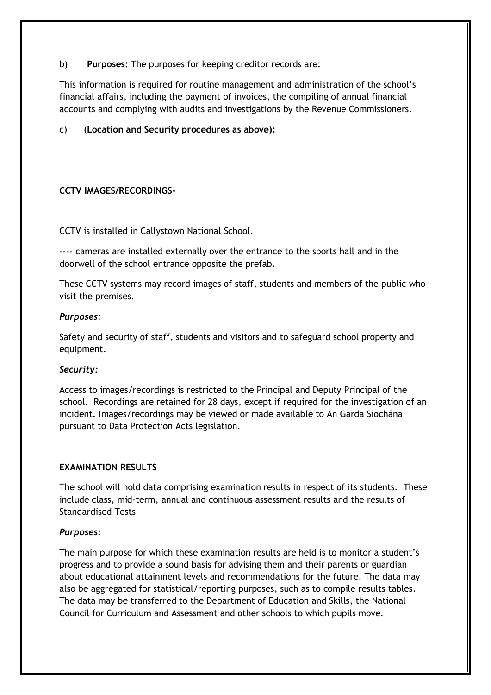b) **Purposes:** The purposes for keeping creditor records are:

This information is required for routine management and administration of the school's financial affairs, including the payment of invoices, the compiling of annual financial accounts and complying with audits and investigations by the Revenue Commissioners.

c) (**Location and Security procedures as above):** 

#### **CCTV IMAGES/RECORDINGS-**

CCTV is installed in Callystown National School.

---- cameras are installed externally over the entrance to the sports hall and in the doorwell of the school entrance opposite the prefab.

These CCTV systems may record images of staff, students and members of the public who visit the premises.

#### *Purposes:*

Safety and security of staff, students and visitors and to safeguard school property and equipment.

#### *Security:*

Access to images/recordings is restricted to the Principal and Deputy Principal of the school. Recordings are retained for 28 days, except if required for the investigation of an incident. Images/recordings may be viewed or made available to An Garda Síochána pursuant to Data Protection Acts legislation.

#### **EXAMINATION RESULTS**

The school will hold data comprising examination results in respect of its students. These include class, mid-term, annual and continuous assessment results and the results of Standardised Tests

#### *Purposes:*

The main purpose for which these examination results are held is to monitor a student's progress and to provide a sound basis for advising them and their parents or guardian about educational attainment levels and recommendations for the future. The data may also be aggregated for statistical/reporting purposes, such as to compile results tables. The data may be transferred to the Department of Education and Skills, the National Council for Curriculum and Assessment and other schools to which pupils move.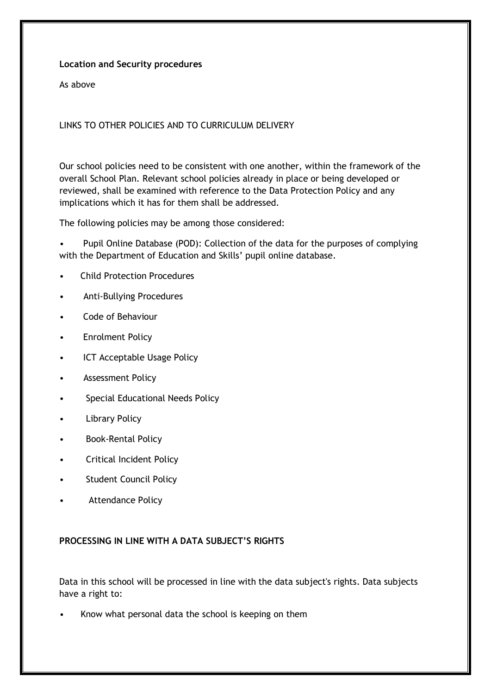#### **Location and Security procedures**

As above

LINKS TO OTHER POLICIES AND TO CURRICULUM DELIVERY

Our school policies need to be consistent with one another, within the framework of the overall School Plan. Relevant school policies already in place or being developed or reviewed, shall be examined with reference to the Data Protection Policy and any implications which it has for them shall be addressed.

The following policies may be among those considered:

• Pupil Online Database (POD): Collection of the data for the purposes of complying with the Department of Education and Skills' pupil online database.

- Child Protection Procedures
- Anti-Bullying Procedures
- Code of Behaviour
- Enrolment Policy
- ICT Acceptable Usage Policy
- Assessment Policy
- Special Educational Needs Policy
- **Library Policy**
- Book-Rental Policy
- Critical Incident Policy
- **Student Council Policy**
- Attendance Policy

#### **PROCESSING IN LINE WITH A DATA SUBJECT'S RIGHTS**

Data in this school will be processed in line with the data subject's rights. Data subjects have a right to:

Know what personal data the school is keeping on them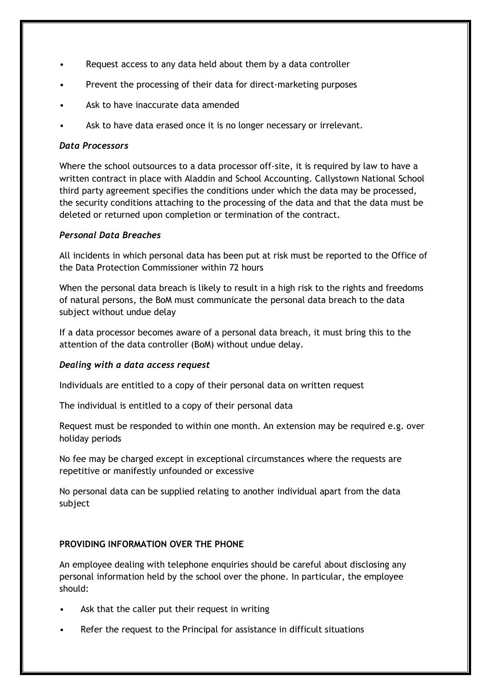- Request access to any data held about them by a data controller
- Prevent the processing of their data for direct-marketing purposes
- Ask to have inaccurate data amended
- Ask to have data erased once it is no longer necessary or irrelevant.

## *Data Processors*

Where the school outsources to a data processor off-site, it is required by law to have a written contract in place with Aladdin and School Accounting. Callystown National School third party agreement specifies the conditions under which the data may be processed, the security conditions attaching to the processing of the data and that the data must be deleted or returned upon completion or termination of the contract.

## *Personal Data Breaches*

All incidents in which personal data has been put at risk must be reported to the Office of the Data Protection Commissioner within 72 hours

When the personal data breach is likely to result in a high risk to the rights and freedoms of natural persons, the BoM must communicate the personal data breach to the data subject without undue delay

If a data processor becomes aware of a personal data breach, it must bring this to the attention of the data controller (BoM) without undue delay.

## *Dealing with a data access request*

Individuals are entitled to a copy of their personal data on written request

The individual is entitled to a copy of their personal data

Request must be responded to within one month. An extension may be required e.g. over holiday periods

No fee may be charged except in exceptional circumstances where the requests are repetitive or manifestly unfounded or excessive

No personal data can be supplied relating to another individual apart from the data subject

## **PROVIDING INFORMATION OVER THE PHONE**

An employee dealing with telephone enquiries should be careful about disclosing any personal information held by the school over the phone. In particular, the employee should:

- Ask that the caller put their request in writing
- Refer the request to the Principal for assistance in difficult situations